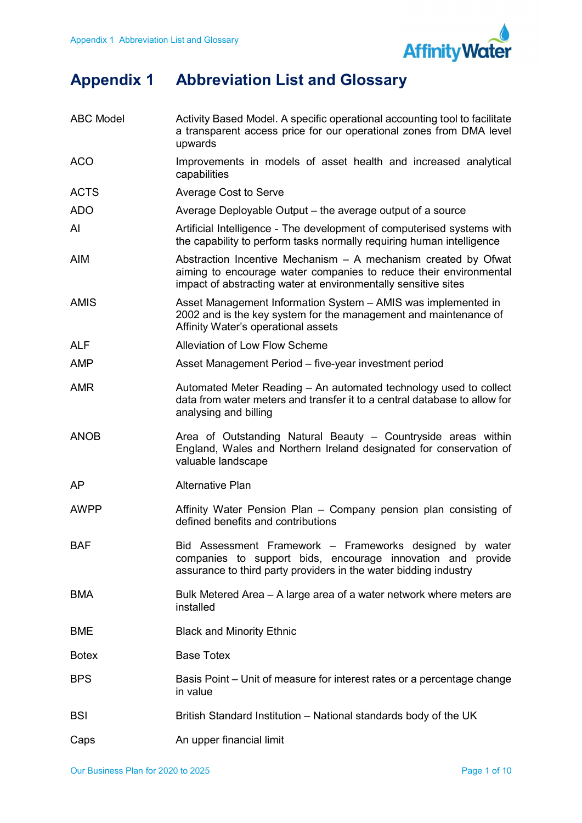

## Appendix 1 Abbreviation List and Glossary

| <b>ABC Model</b> | Activity Based Model. A specific operational accounting tool to facilitate<br>a transparent access price for our operational zones from DMA level<br>upwards                                          |
|------------------|-------------------------------------------------------------------------------------------------------------------------------------------------------------------------------------------------------|
| <b>ACO</b>       | Improvements in models of asset health and increased analytical<br>capabilities                                                                                                                       |
| <b>ACTS</b>      | <b>Average Cost to Serve</b>                                                                                                                                                                          |
| <b>ADO</b>       | Average Deployable Output – the average output of a source                                                                                                                                            |
| AI               | Artificial Intelligence - The development of computerised systems with<br>the capability to perform tasks normally requiring human intelligence                                                       |
| <b>AIM</b>       | Abstraction Incentive Mechanism - A mechanism created by Ofwat<br>aiming to encourage water companies to reduce their environmental<br>impact of abstracting water at environmentally sensitive sites |
| <b>AMIS</b>      | Asset Management Information System - AMIS was implemented in<br>2002 and is the key system for the management and maintenance of<br>Affinity Water's operational assets                              |
| <b>ALF</b>       | <b>Alleviation of Low Flow Scheme</b>                                                                                                                                                                 |
| <b>AMP</b>       | Asset Management Period - five-year investment period                                                                                                                                                 |
| <b>AMR</b>       | Automated Meter Reading – An automated technology used to collect<br>data from water meters and transfer it to a central database to allow for<br>analysing and billing                               |
| <b>ANOB</b>      | Area of Outstanding Natural Beauty – Countryside areas within<br>England, Wales and Northern Ireland designated for conservation of<br>valuable landscape                                             |
| <b>AP</b>        | <b>Alternative Plan</b>                                                                                                                                                                               |
| <b>AWPP</b>      | Affinity Water Pension Plan - Company pension plan consisting of<br>defined benefits and contributions                                                                                                |
| <b>BAF</b>       | Bid Assessment Framework – Frameworks designed by water<br>companies to support bids, encourage innovation and provide<br>assurance to third party providers in the water bidding industry            |
| <b>BMA</b>       | Bulk Metered Area - A large area of a water network where meters are<br>installed                                                                                                                     |
| <b>BME</b>       | <b>Black and Minority Ethnic</b>                                                                                                                                                                      |
| <b>Botex</b>     | <b>Base Totex</b>                                                                                                                                                                                     |
| <b>BPS</b>       | Basis Point – Unit of measure for interest rates or a percentage change<br>in value                                                                                                                   |
| <b>BSI</b>       | British Standard Institution – National standards body of the UK                                                                                                                                      |
| Caps             | An upper financial limit                                                                                                                                                                              |
|                  |                                                                                                                                                                                                       |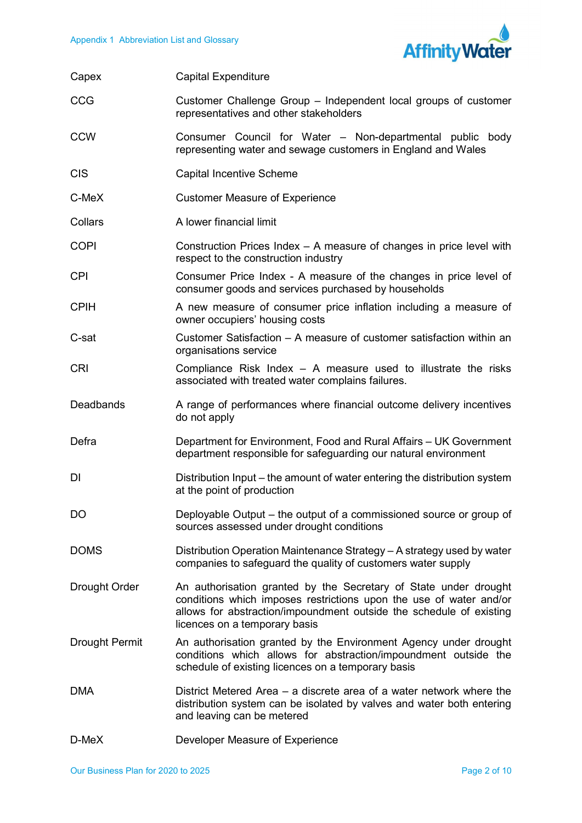

| Capex                 | <b>Capital Expenditure</b>                                                                                                                                                                                                                     |
|-----------------------|------------------------------------------------------------------------------------------------------------------------------------------------------------------------------------------------------------------------------------------------|
| CCG                   | Customer Challenge Group - Independent local groups of customer<br>representatives and other stakeholders                                                                                                                                      |
| <b>CCW</b>            | Consumer Council for Water - Non-departmental public body<br>representing water and sewage customers in England and Wales                                                                                                                      |
| <b>CIS</b>            | <b>Capital Incentive Scheme</b>                                                                                                                                                                                                                |
| C-MeX                 | <b>Customer Measure of Experience</b>                                                                                                                                                                                                          |
| Collars               | A lower financial limit                                                                                                                                                                                                                        |
| <b>COPI</b>           | Construction Prices Index - A measure of changes in price level with<br>respect to the construction industry                                                                                                                                   |
| <b>CPI</b>            | Consumer Price Index - A measure of the changes in price level of<br>consumer goods and services purchased by households                                                                                                                       |
| <b>CPIH</b>           | A new measure of consumer price inflation including a measure of<br>owner occupiers' housing costs                                                                                                                                             |
| C-sat                 | Customer Satisfaction – A measure of customer satisfaction within an<br>organisations service                                                                                                                                                  |
| <b>CRI</b>            | Compliance Risk Index $-$ A measure used to illustrate the risks<br>associated with treated water complains failures.                                                                                                                          |
| Deadbands             | A range of performances where financial outcome delivery incentives<br>do not apply                                                                                                                                                            |
| Defra                 | Department for Environment, Food and Rural Affairs - UK Government<br>department responsible for safeguarding our natural environment                                                                                                          |
| DI                    | Distribution Input – the amount of water entering the distribution system<br>at the point of production                                                                                                                                        |
| DO                    | Deployable Output – the output of a commissioned source or group of<br>sources assessed under drought conditions                                                                                                                               |
| <b>DOMS</b>           | Distribution Operation Maintenance Strategy - A strategy used by water<br>companies to safeguard the quality of customers water supply                                                                                                         |
| Drought Order         | An authorisation granted by the Secretary of State under drought<br>conditions which imposes restrictions upon the use of water and/or<br>allows for abstraction/impoundment outside the schedule of existing<br>licences on a temporary basis |
| <b>Drought Permit</b> | An authorisation granted by the Environment Agency under drought<br>conditions which allows for abstraction/impoundment outside the<br>schedule of existing licences on a temporary basis                                                      |
| <b>DMA</b>            | District Metered Area – a discrete area of a water network where the<br>distribution system can be isolated by valves and water both entering<br>and leaving can be metered                                                                    |
| D-MeX                 | Developer Measure of Experience                                                                                                                                                                                                                |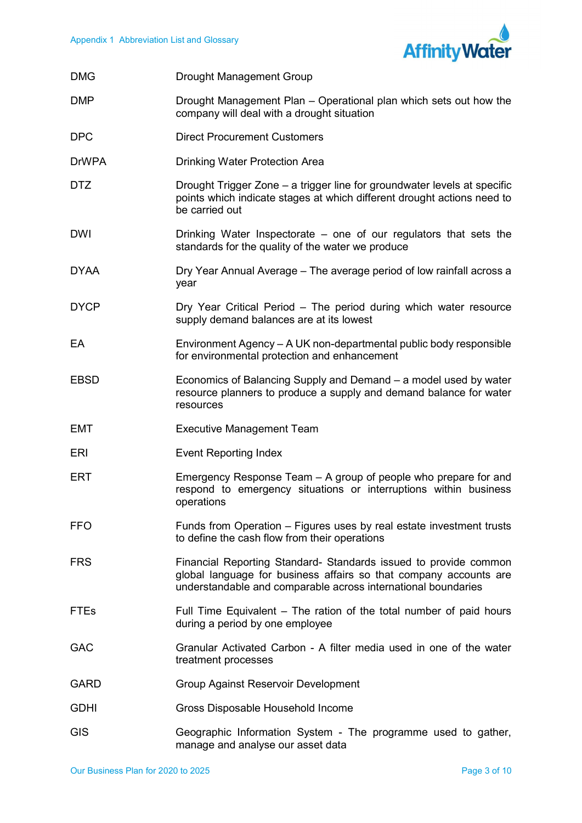

| <b>DMG</b>   | <b>Drought Management Group</b>                                                                                                                                                                        |
|--------------|--------------------------------------------------------------------------------------------------------------------------------------------------------------------------------------------------------|
| <b>DMP</b>   | Drought Management Plan – Operational plan which sets out how the<br>company will deal with a drought situation                                                                                        |
| <b>DPC</b>   | <b>Direct Procurement Customers</b>                                                                                                                                                                    |
| <b>DrWPA</b> | <b>Drinking Water Protection Area</b>                                                                                                                                                                  |
| <b>DTZ</b>   | Drought Trigger Zone - a trigger line for groundwater levels at specific<br>points which indicate stages at which different drought actions need to<br>be carried out                                  |
| <b>DWI</b>   | Drinking Water Inspectorate – one of our regulators that sets the<br>standards for the quality of the water we produce                                                                                 |
| <b>DYAA</b>  | Dry Year Annual Average - The average period of low rainfall across a<br>year                                                                                                                          |
| <b>DYCP</b>  | Dry Year Critical Period - The period during which water resource<br>supply demand balances are at its lowest                                                                                          |
| EA           | Environment Agency – A UK non-departmental public body responsible<br>for environmental protection and enhancement                                                                                     |
| <b>EBSD</b>  | Economics of Balancing Supply and Demand – a model used by water<br>resource planners to produce a supply and demand balance for water<br>resources                                                    |
| <b>EMT</b>   | <b>Executive Management Team</b>                                                                                                                                                                       |
| ERI          | <b>Event Reporting Index</b>                                                                                                                                                                           |
| <b>ERT</b>   | Emergency Response Team - A group of people who prepare for and<br>respond to emergency situations or interruptions within business<br>operations                                                      |
| <b>FFO</b>   | Funds from Operation – Figures uses by real estate investment trusts<br>to define the cash flow from their operations                                                                                  |
| <b>FRS</b>   | Financial Reporting Standard- Standards issued to provide common<br>global language for business affairs so that company accounts are<br>understandable and comparable across international boundaries |
| <b>FTEs</b>  | Full Time Equivalent – The ration of the total number of paid hours<br>during a period by one employee                                                                                                 |
| <b>GAC</b>   | Granular Activated Carbon - A filter media used in one of the water<br>treatment processes                                                                                                             |
| <b>GARD</b>  | Group Against Reservoir Development                                                                                                                                                                    |
| <b>GDHI</b>  | Gross Disposable Household Income                                                                                                                                                                      |
| <b>GIS</b>   | Geographic Information System - The programme used to gather,                                                                                                                                          |

manage and analyse our asset data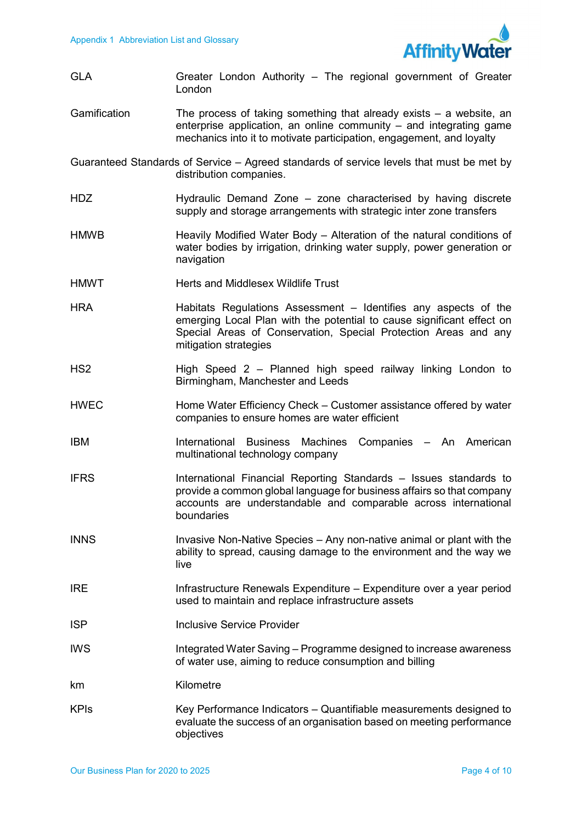

 GLA Greater London Authority – The regional government of Greater Gamification The process of taking something that already exists – a website, an enterprise application, an online community – and integrating game mechanics into it to motivate participation, engagement, and loyalty London

 Guaranteed Standards of Service – Agreed standards of service levels that must be met by distribution companies.

- HDZ **Hydraulic Demand Zone zone characterised** by having discrete supply and storage arrangements with strategic inter zone transfers
- HMWB **Heavily Modified Water Body Alteration of the natural conditions of**  water bodies by irrigation, drinking water supply, power generation or navigation
- HMWT **Herts and Middlesex Wildlife Trust**
- HRA **Habitats Regulations Assessment** Identifies any aspects of the emerging Local Plan with the potential to cause significant effect on Special Areas of Conservation, Special Protection Areas and any mitigation strategies
- HS2 High Speed 2 Planned high speed railway linking London to Birmingham, Manchester and Leeds
- HWEC **Home Water Efficiency Check Customer assistance offered by water** companies to ensure homes are water efficient
- IBM International Business Machines Companies An American multinational technology company
- IFRS **International Financial Reporting Standards** Issues standards to provide a common global language for business affairs so that company accounts are understandable and comparable across international boundaries
- INNS **ING INVASIVE Non-Native Species** Any non-native animal or plant with the ability to spread, causing damage to the environment and the way we live
- IRE Infrastructure Renewals Expenditure Expenditure over a year period used to maintain and replace infrastructure assets
- **ISP Inclusive Service Provider**
- IWS TWS Integrated Water Saving Programme designed to increase awareness of water use, aiming to reduce consumption and billing
- km Kilometre
- KPIs Key Performance Indicators Quantifiable measurements designed to evaluate the success of an organisation based on meeting performance objectives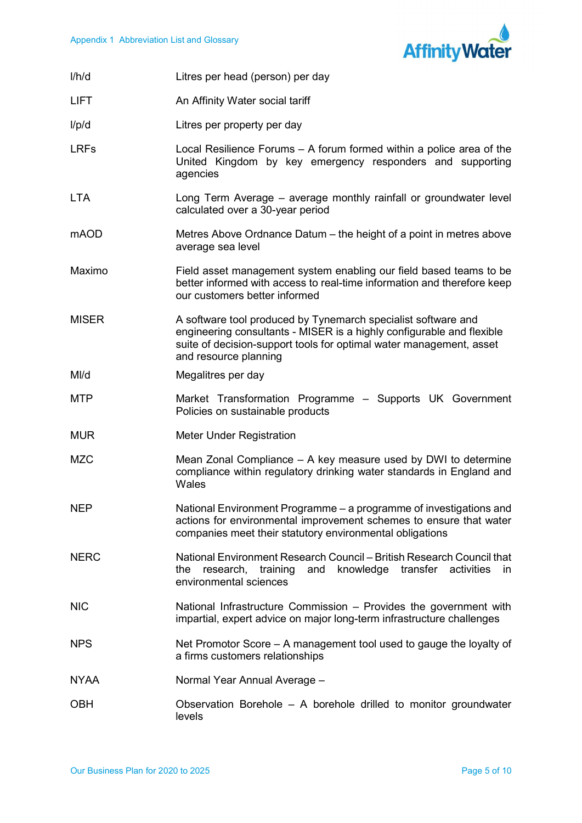

| I/h/d        | Litres per head (person) per day                                                                                                                                                                                                       |
|--------------|----------------------------------------------------------------------------------------------------------------------------------------------------------------------------------------------------------------------------------------|
| <b>LIFT</b>  | An Affinity Water social tariff                                                                                                                                                                                                        |
| I/p/d        | Litres per property per day                                                                                                                                                                                                            |
| <b>LRFs</b>  | Local Resilience Forums - A forum formed within a police area of the<br>United Kingdom by key emergency responders and supporting<br>agencies                                                                                          |
| <b>LTA</b>   | Long Term Average – average monthly rainfall or groundwater level<br>calculated over a 30-year period                                                                                                                                  |
| mAOD         | Metres Above Ordnance Datum – the height of a point in metres above<br>average sea level                                                                                                                                               |
| Maximo       | Field asset management system enabling our field based teams to be<br>better informed with access to real-time information and therefore keep<br>our customers better informed                                                         |
| <b>MISER</b> | A software tool produced by Tynemarch specialist software and<br>engineering consultants - MISER is a highly configurable and flexible<br>suite of decision-support tools for optimal water management, asset<br>and resource planning |
| MI/d         | Megalitres per day                                                                                                                                                                                                                     |
| <b>MTP</b>   | Market Transformation Programme - Supports UK Government<br>Policies on sustainable products                                                                                                                                           |
| <b>MUR</b>   | <b>Meter Under Registration</b>                                                                                                                                                                                                        |
| <b>MZC</b>   | Mean Zonal Compliance – A key measure used by DWI to determine<br>compliance within regulatory drinking water standards in England and<br>Wales                                                                                        |
| <b>NEP</b>   | National Environment Programme - a programme of investigations and<br>actions for environmental improvement schemes to ensure that water<br>companies meet their statutory environmental obligations                                   |
| <b>NERC</b>  | National Environment Research Council – British Research Council that<br>research, training<br>and knowledge<br>transfer<br>activities<br>the<br>in.<br>environmental sciences                                                         |
| <b>NIC</b>   | National Infrastructure Commission - Provides the government with<br>impartial, expert advice on major long-term infrastructure challenges                                                                                             |
| <b>NPS</b>   | Net Promotor Score – A management tool used to gauge the loyalty of<br>a firms customers relationships                                                                                                                                 |
| <b>NYAA</b>  | Normal Year Annual Average -                                                                                                                                                                                                           |
| <b>OBH</b>   | Observation Borehole - A borehole drilled to monitor groundwater<br>levels                                                                                                                                                             |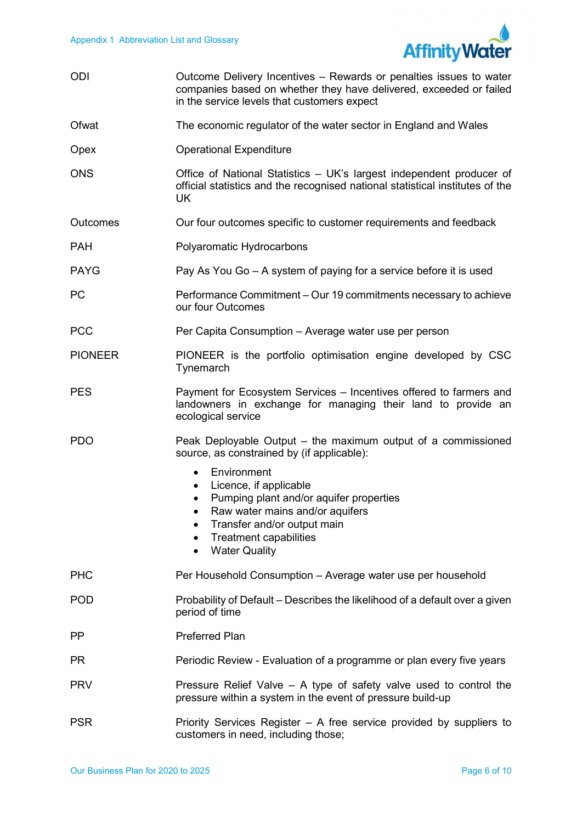

| <b>ODI</b> | Outcome Delivery Incentives – Rewards or penalties issues to water |
|------------|--------------------------------------------------------------------|
|            | companies based on whether they have delivered, exceeded or failed |
|            | in the service levels that customers expect                        |

- Ofwat The economic regulator of the water sector in England and Wales
- Opex Operational Expenditure
- ONS Office of National Statistics UK's largest independent producer of official statistics and the recognised national statistical institutes of the UK
- Outcomes Our four outcomes specific to customer requirements and feedback
- PAH **POlyaromatic Hydrocarbons**
- PAYG Pay As You Go A system of paying for a service before it is used
- PC Performance Commitment Our 19 commitments necessary to achieve our four Outcomes
- PCC Per Capita Consumption Average water use per person
- PIONEER **PIONEER** is the portfolio optimisation engine developed by CSC **Tynemarch**
- PES **PES** Payment for Ecosystem Services Incentives offered to farmers and landowners in exchange for managing their land to provide an ecological service
- PDO Peak Deployable Output the maximum output of a commissioned source, as constrained by (if applicable):
	- Environment
	- Licence, if applicable
	- Pumping plant and/or aquifer properties
	- Raw water mains and/or aquifers
	- Transfer and/or output main
	- Treatment capabilities
	- Water Quality
- PH<sub>C</sub> Per Household Consumption – Average water use per household
- POD Probability of Default Describes the likelihood of a default over a given period of time
- PP Preferred Plan
- **PR** Periodic Review - Evaluation of a programme or plan every five years
- PRV Pressure Relief Valve A type of safety valve used to control the pressure within a system in the event of pressure build-up
- PSR **PRIOR** Priority Services Register A free service provided by suppliers to customers in need, including those;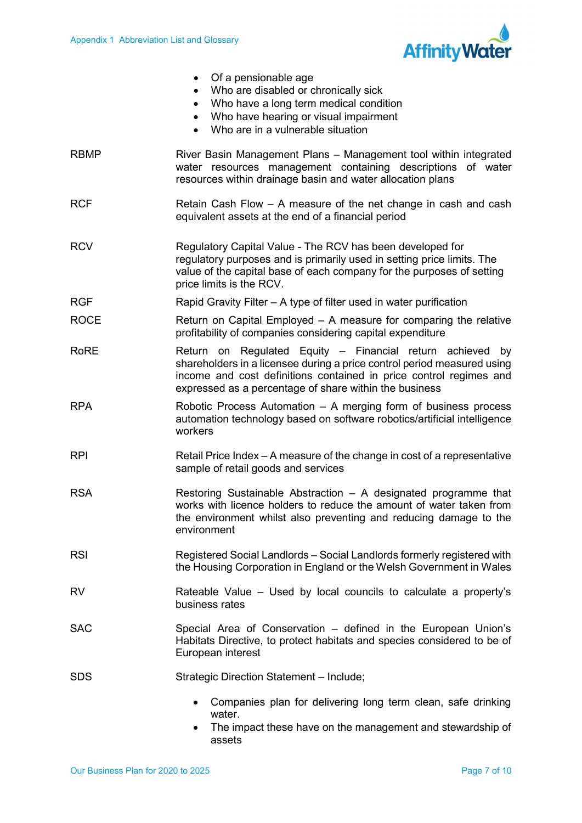

|             | Of a pensionable age<br>Who are disabled or chronically sick<br>Who have a long term medical condition<br>Who have hearing or visual impairment<br>Who are in a vulnerable situation                                                                                 |
|-------------|----------------------------------------------------------------------------------------------------------------------------------------------------------------------------------------------------------------------------------------------------------------------|
| <b>RBMP</b> | River Basin Management Plans - Management tool within integrated<br>water resources management containing descriptions of water<br>resources within drainage basin and water allocation plans                                                                        |
| <b>RCF</b>  | Retain Cash Flow - A measure of the net change in cash and cash<br>equivalent assets at the end of a financial period                                                                                                                                                |
| <b>RCV</b>  | Regulatory Capital Value - The RCV has been developed for<br>regulatory purposes and is primarily used in setting price limits. The<br>value of the capital base of each company for the purposes of setting<br>price limits is the RCV.                             |
| <b>RGF</b>  | Rapid Gravity Filter – A type of filter used in water purification                                                                                                                                                                                                   |
| <b>ROCE</b> | Return on Capital Employed – A measure for comparing the relative<br>profitability of companies considering capital expenditure                                                                                                                                      |
| <b>RoRE</b> | Return on Regulated Equity - Financial return achieved by<br>shareholders in a licensee during a price control period measured using<br>income and cost definitions contained in price control regimes and<br>expressed as a percentage of share within the business |
| <b>RPA</b>  | Robotic Process Automation - A merging form of business process<br>automation technology based on software robotics/artificial intelligence<br>workers                                                                                                               |
| <b>RPI</b>  | Retail Price Index – A measure of the change in cost of a representative<br>sample of retail goods and services                                                                                                                                                      |
| <b>RSA</b>  | Restoring Sustainable Abstraction - A designated programme that<br>works with licence holders to reduce the amount of water taken from<br>the environment whilst also preventing and reducing damage to the<br>environment                                           |
| <b>RSI</b>  | Registered Social Landlords - Social Landlords formerly registered with<br>the Housing Corporation in England or the Welsh Government in Wales                                                                                                                       |
| RV          | Rateable Value – Used by local councils to calculate a property's<br>business rates                                                                                                                                                                                  |
| <b>SAC</b>  | Special Area of Conservation - defined in the European Union's<br>Habitats Directive, to protect habitats and species considered to be of<br>European interest                                                                                                       |
| <b>SDS</b>  | Strategic Direction Statement - Include;                                                                                                                                                                                                                             |
|             | Companies plan for delivering long term clean, safe drinking<br>water.<br>The impost these housen the menogement and stougraphin of                                                                                                                                  |

 assets The impact these have on the management and stewardship of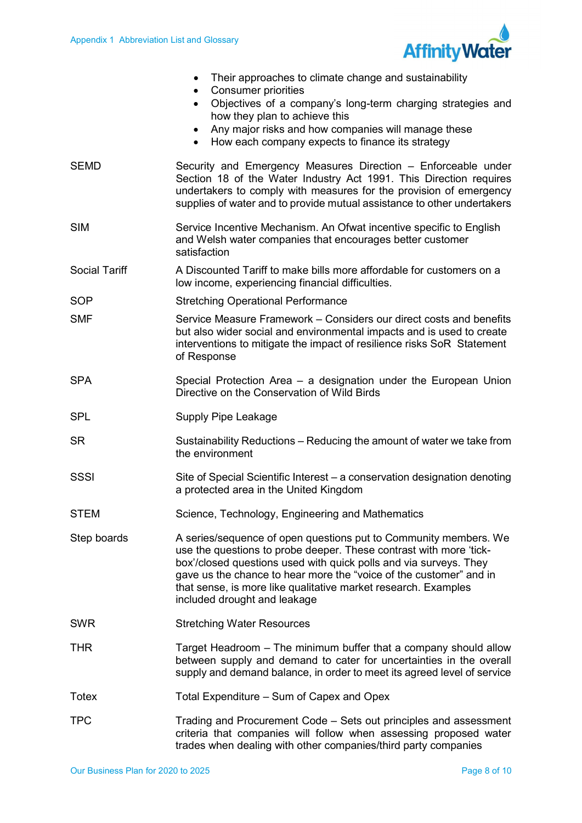

|                      | Their approaches to climate change and sustainability<br><b>Consumer priorities</b><br>$\bullet$<br>Objectives of a company's long-term charging strategies and<br>$\bullet$<br>how they plan to achieve this<br>Any major risks and how companies will manage these<br>How each company expects to finance its strategy<br>$\bullet$                                               |
|----------------------|-------------------------------------------------------------------------------------------------------------------------------------------------------------------------------------------------------------------------------------------------------------------------------------------------------------------------------------------------------------------------------------|
| <b>SEMD</b>          | Security and Emergency Measures Direction - Enforceable under<br>Section 18 of the Water Industry Act 1991. This Direction requires<br>undertakers to comply with measures for the provision of emergency<br>supplies of water and to provide mutual assistance to other undertakers                                                                                                |
| <b>SIM</b>           | Service Incentive Mechanism. An Ofwat incentive specific to English<br>and Welsh water companies that encourages better customer<br>satisfaction                                                                                                                                                                                                                                    |
| <b>Social Tariff</b> | A Discounted Tariff to make bills more affordable for customers on a<br>low income, experiencing financial difficulties.                                                                                                                                                                                                                                                            |
| <b>SOP</b>           | <b>Stretching Operational Performance</b>                                                                                                                                                                                                                                                                                                                                           |
| <b>SMF</b>           | Service Measure Framework – Considers our direct costs and benefits<br>but also wider social and environmental impacts and is used to create<br>interventions to mitigate the impact of resilience risks SoR Statement<br>of Response                                                                                                                                               |
| <b>SPA</b>           | Special Protection Area – a designation under the European Union<br>Directive on the Conservation of Wild Birds                                                                                                                                                                                                                                                                     |
| <b>SPL</b>           | Supply Pipe Leakage                                                                                                                                                                                                                                                                                                                                                                 |
| <b>SR</b>            | Sustainability Reductions – Reducing the amount of water we take from<br>the environment                                                                                                                                                                                                                                                                                            |
| <b>SSSI</b>          | Site of Special Scientific Interest – a conservation designation denoting<br>a protected area in the United Kingdom                                                                                                                                                                                                                                                                 |
| <b>STEM</b>          | Science, Technology, Engineering and Mathematics                                                                                                                                                                                                                                                                                                                                    |
| Step boards          | A series/sequence of open questions put to Community members. We<br>use the questions to probe deeper. These contrast with more 'tick-<br>box'/closed questions used with quick polls and via surveys. They<br>gave us the chance to hear more the "voice of the customer" and in<br>that sense, is more like qualitative market research. Examples<br>included drought and leakage |
| <b>SWR</b>           | <b>Stretching Water Resources</b>                                                                                                                                                                                                                                                                                                                                                   |
| <b>THR</b>           | Target Headroom – The minimum buffer that a company should allow<br>between supply and demand to cater for uncertainties in the overall<br>supply and demand balance, in order to meet its agreed level of service                                                                                                                                                                  |
| <b>Totex</b>         | Total Expenditure – Sum of Capex and Opex                                                                                                                                                                                                                                                                                                                                           |
| <b>TPC</b>           | Trading and Procurement Code – Sets out principles and assessment<br>criteria that companies will follow when assessing proposed water<br>trades when dealing with other companies/third party companies                                                                                                                                                                            |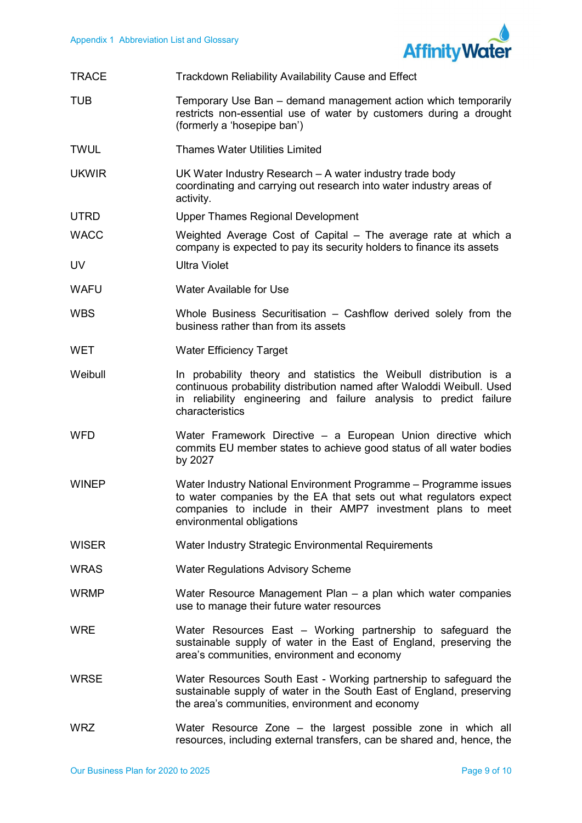

| <b>TRACE</b> | Trackdown Reliability Availability Cause and Effect                                                                                                                                                                                  |
|--------------|--------------------------------------------------------------------------------------------------------------------------------------------------------------------------------------------------------------------------------------|
| <b>TUB</b>   | Temporary Use Ban - demand management action which temporarily<br>restricts non-essential use of water by customers during a drought<br>(formerly a 'hosepipe ban')                                                                  |
| <b>TWUL</b>  | <b>Thames Water Utilities Limited</b>                                                                                                                                                                                                |
| <b>UKWIR</b> | UK Water Industry Research - A water industry trade body<br>coordinating and carrying out research into water industry areas of<br>activity.                                                                                         |
| <b>UTRD</b>  | <b>Upper Thames Regional Development</b>                                                                                                                                                                                             |
| <b>WACC</b>  | Weighted Average Cost of Capital – The average rate at which a<br>company is expected to pay its security holders to finance its assets                                                                                              |
| UV           | <b>Ultra Violet</b>                                                                                                                                                                                                                  |
| <b>WAFU</b>  | Water Available for Use                                                                                                                                                                                                              |
| <b>WBS</b>   | Whole Business Securitisation - Cashflow derived solely from the<br>business rather than from its assets                                                                                                                             |
| <b>WET</b>   | <b>Water Efficiency Target</b>                                                                                                                                                                                                       |
| Weibull      | In probability theory and statistics the Weibull distribution is a<br>continuous probability distribution named after Waloddi Weibull. Used<br>in reliability engineering and failure analysis to predict failure<br>characteristics |
| <b>WFD</b>   | Water Framework Directive - a European Union directive which<br>commits EU member states to achieve good status of all water bodies<br>by 2027                                                                                       |
| <b>WINEP</b> | Water Industry National Environment Programme - Programme issues<br>to water companies by the EA that sets out what regulators expect<br>companies to include in their AMP7 investment plans to meet<br>environmental obligations    |
| <b>WISER</b> | Water Industry Strategic Environmental Requirements                                                                                                                                                                                  |
| <b>WRAS</b>  | <b>Water Regulations Advisory Scheme</b>                                                                                                                                                                                             |
| <b>WRMP</b>  | Water Resource Management Plan – a plan which water companies<br>use to manage their future water resources                                                                                                                          |
| <b>WRE</b>   | Water Resources East - Working partnership to safeguard the<br>sustainable supply of water in the East of England, preserving the<br>area's communities, environment and economy                                                     |
| <b>WRSE</b>  | Water Resources South East - Working partnership to safeguard the<br>sustainable supply of water in the South East of England, preserving<br>the area's communities, environment and economy                                         |
| <b>WRZ</b>   | Water Resource Zone – the largest possible zone in which all<br>resources, including external transfers, can be shared and, hence, the                                                                                               |